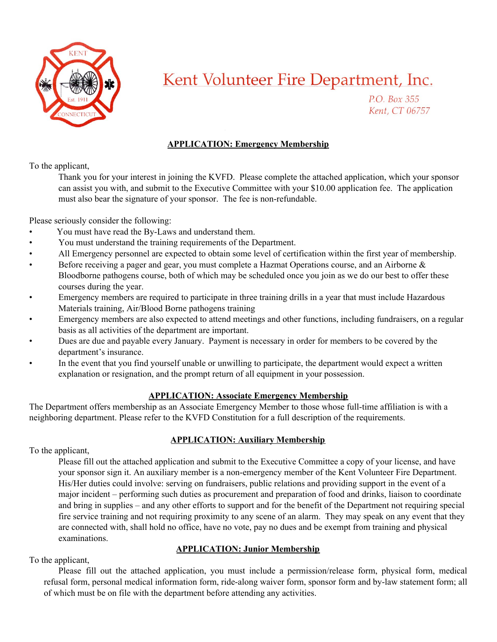

P.O. Box 355 Kent, CT 06757

#### **APPLICATION: Emergency Membership**

To the applicant,

Thank you for your interest in joining the KVFD. Please complete the attached application, which your sponsor can assist you with, and submit to the Executive Committee with your \$10.00 application fee. The application must also bear the signature of your sponsor. The fee is non-refundable.

Please seriously consider the following:

- You must have read the By-Laws and understand them.
- You must understand the training requirements of the Department.
- All Emergency personnel are expected to obtain some level of certification within the first year of membership.
- Before receiving a pager and gear, you must complete a Hazmat Operations course, and an Airborne & Bloodborne pathogens course, both of which may be scheduled once you join as we do our best to offer these courses during the year.
- Emergency members are required to participate in three training drills in a year that must include Hazardous Materials training, Air/Blood Borne pathogens training
- Emergency members are also expected to attend meetings and other functions, including fundraisers, on a regular basis as all activities of the department are important.
- Dues are due and payable every January. Payment is necessary in order for members to be covered by the department's insurance.
- In the event that you find yourself unable or unwilling to participate, the department would expect a written explanation or resignation, and the prompt return of all equipment in your possession.

#### **APPLICATION: Associate Emergency Membership**

The Department offers membership as an Associate Emergency Member to those whose full-time affiliation is with a neighboring department. Please refer to the KVFD Constitution for a full description of the requirements.

#### **APPLICATION: Auxiliary Membership**

To the applicant,

Please fill out the attached application and submit to the Executive Committee a copy of your license, and have your sponsor sign it. An auxiliary member is a non-emergency member of the Kent Volunteer Fire Department. His/Her duties could involve: serving on fundraisers, public relations and providing support in the event of a major incident – performing such duties as procurement and preparation of food and drinks, liaison to coordinate and bring in supplies – and any other efforts to support and for the benefit of the Department not requiring special fire service training and not requiring proximity to any scene of an alarm. They may speak on any event that they are connected with, shall hold no office, have no vote, pay no dues and be exempt from training and physical examinations.

#### **APPLICATION: Junior Membership**

To the applicant,

Please fill out the attached application, you must include a permission/release form, physical form, medical refusal form, personal medical information form, ride-along waiver form, sponsor form and by-law statement form; all of which must be on file with the department before attending any activities.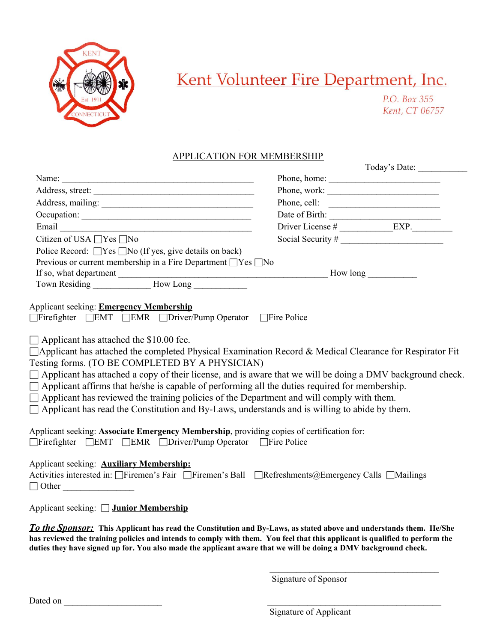

P.O. Box 355 Kent, CT 06757

#### APPLICATION FOR MEMBERSHIP

|                                                                                                                                                                                                                                                                                                                                                                                                                                                                                                                                                                                                                                                                                                                                                                  |              | Today's Date:                     |  |  |
|------------------------------------------------------------------------------------------------------------------------------------------------------------------------------------------------------------------------------------------------------------------------------------------------------------------------------------------------------------------------------------------------------------------------------------------------------------------------------------------------------------------------------------------------------------------------------------------------------------------------------------------------------------------------------------------------------------------------------------------------------------------|--------------|-----------------------------------|--|--|
| Name:                                                                                                                                                                                                                                                                                                                                                                                                                                                                                                                                                                                                                                                                                                                                                            |              |                                   |  |  |
|                                                                                                                                                                                                                                                                                                                                                                                                                                                                                                                                                                                                                                                                                                                                                                  | Phone, work: |                                   |  |  |
| Address, mailing:                                                                                                                                                                                                                                                                                                                                                                                                                                                                                                                                                                                                                                                                                                                                                | Phone, cell: |                                   |  |  |
| Occupation:                                                                                                                                                                                                                                                                                                                                                                                                                                                                                                                                                                                                                                                                                                                                                      |              |                                   |  |  |
|                                                                                                                                                                                                                                                                                                                                                                                                                                                                                                                                                                                                                                                                                                                                                                  |              | Date of Birth: $\frac{1}{2}$ EXP. |  |  |
| Citizen of USA □Yes □No                                                                                                                                                                                                                                                                                                                                                                                                                                                                                                                                                                                                                                                                                                                                          |              |                                   |  |  |
| Police Record: $\Box$ Yes $\Box$ No (If yes, give details on back)                                                                                                                                                                                                                                                                                                                                                                                                                                                                                                                                                                                                                                                                                               |              |                                   |  |  |
| Previous or current membership in a Fire Department □ Yes □ No                                                                                                                                                                                                                                                                                                                                                                                                                                                                                                                                                                                                                                                                                                   |              |                                   |  |  |
|                                                                                                                                                                                                                                                                                                                                                                                                                                                                                                                                                                                                                                                                                                                                                                  |              |                                   |  |  |
|                                                                                                                                                                                                                                                                                                                                                                                                                                                                                                                                                                                                                                                                                                                                                                  |              |                                   |  |  |
| Applicant seeking: Emergency Membership<br>□Firefighter □EMT □EMR □Driver/Pump Operator □Fire Police<br>$\Box$ Applicant has attached the \$10.00 fee.<br>□ Applicant has attached the completed Physical Examination Record & Medical Clearance for Respirator Fit<br>Testing forms. (TO BE COMPLETED BY A PHYSICIAN)<br>$\Box$ Applicant has attached a copy of their license, and is aware that we will be doing a DMV background check.<br>$\Box$ Applicant affirms that he/she is capable of performing all the duties required for membership.<br>$\Box$ Applicant has reviewed the training policies of the Department and will comply with them.<br>$\Box$ Applicant has read the Constitution and By-Laws, understands and is willing to abide by them. |              |                                   |  |  |
| Applicant seeking: <b>Associate Emergency Membership</b> , providing copies of certification for:<br>Firefighter FEMT FEMR FDriver/Pump Operator Fire Police                                                                                                                                                                                                                                                                                                                                                                                                                                                                                                                                                                                                     |              |                                   |  |  |
| Applicant seeking: <b>Auxiliary Membership:</b><br>Activities interested in: □Firemen's Fair □Firemen's Ball □Refreshments@Emergency Calls □Mailings<br>$\Box$ Other                                                                                                                                                                                                                                                                                                                                                                                                                                                                                                                                                                                             |              |                                   |  |  |
| Applicant seeking: □ Junior Membership                                                                                                                                                                                                                                                                                                                                                                                                                                                                                                                                                                                                                                                                                                                           |              |                                   |  |  |
| To the Sponsor: This Applicant has read the Constitution and By-Laws, as stated above and understands them. He/She<br>has reviewed the training policies and intends to comply with them. You feel that this applicant is qualified to perform the                                                                                                                                                                                                                                                                                                                                                                                                                                                                                                               |              |                                   |  |  |
| duties they have signed up for. You also made the applicant aware that we will be doing a DMV background check.                                                                                                                                                                                                                                                                                                                                                                                                                                                                                                                                                                                                                                                  |              |                                   |  |  |

Signature of Sponsor

 $\mathcal{L}_\text{max}$ 

Dated on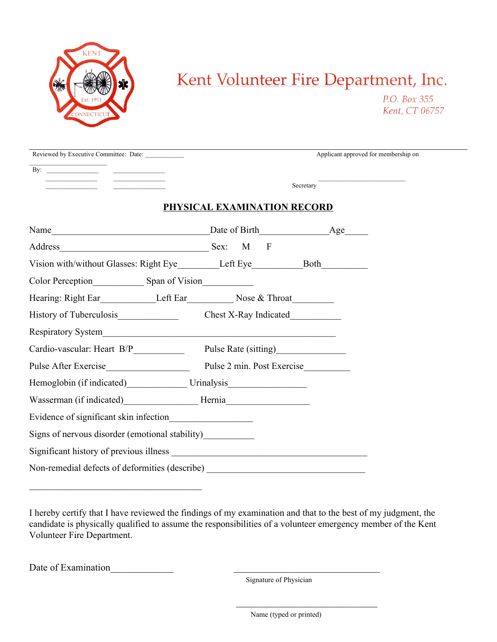

P.O. Box 355 Kent, CT 06757

| Reviewed by Executive Committee: Date:                                                                                                                                                                                                           |                             | Applicant approved for membership on |  |
|--------------------------------------------------------------------------------------------------------------------------------------------------------------------------------------------------------------------------------------------------|-----------------------------|--------------------------------------|--|
|                                                                                                                                                                                                                                                  |                             |                                      |  |
|                                                                                                                                                                                                                                                  |                             | Secretary Theorem                    |  |
|                                                                                                                                                                                                                                                  |                             |                                      |  |
|                                                                                                                                                                                                                                                  | PHYSICAL EXAMINATION RECORD |                                      |  |
| Name  Mame  Mame  Mame  Mame  Mame  Mame  Mame  Mame  Mame  Mame  Mame  Mame  Mame  Mame  Mame  Mame  Mame  Mame  Mame  Mame $\frac{1}{2}$ Age  Mame  Mame  Mame $\frac{1}{2}$ Age $\frac{1}{2}$ Age $\frac{1}{2}$ Age $\frac{1}{2}$ Age $\frac$ |                             |                                      |  |
|                                                                                                                                                                                                                                                  |                             |                                      |  |
|                                                                                                                                                                                                                                                  |                             |                                      |  |
|                                                                                                                                                                                                                                                  |                             |                                      |  |
| Hearing: Right Ear Left Ear Left Ear Nose & Throat Left Ear Nose & Throat Left Ear Left Ear Left Ear Nose & Throat Left Ear Left Ear Left Ear Left Ear Left Ear Left Ear Left Ear Left Ear Left Ear Left Ear Left Ear Left Ear                   |                             |                                      |  |
| History of Tuberculosis<br>Chest X-Ray Indicated<br>Chest X-Ray Indicated                                                                                                                                                                        |                             |                                      |  |
|                                                                                                                                                                                                                                                  |                             |                                      |  |
| Cardio-vascular: Heart B/P______________ Pulse Rate (sitting)___________________                                                                                                                                                                 |                             |                                      |  |
|                                                                                                                                                                                                                                                  |                             |                                      |  |
| Hemoglobin (if indicated) Urinalysis Urinalysis                                                                                                                                                                                                  |                             |                                      |  |
| Wasserman (if indicated)________________________Hernia__________________________                                                                                                                                                                 |                             |                                      |  |
| Evidence of significant skin infection                                                                                                                                                                                                           |                             |                                      |  |
| Signs of nervous disorder (emotional stability)___________                                                                                                                                                                                       |                             |                                      |  |
|                                                                                                                                                                                                                                                  |                             |                                      |  |
| Non-remedial defects of deformities (describe) _________________________________                                                                                                                                                                 |                             |                                      |  |

I hereby certify that I have reviewed the findings of my examination and that to the best of my judgment, the candidate is physically qualified to assume the responsibilities of a volunteer emergency member of the Kent Volunteer Fire Department.

 $\mathcal{L}_\text{max}$  and  $\mathcal{L}_\text{max}$  and  $\mathcal{L}_\text{max}$  and  $\mathcal{L}_\text{max}$  and  $\mathcal{L}_\text{max}$  and  $\mathcal{L}_\text{max}$ 

Date of Examination

 $\mathcal{L}_\text{max}$ 

Signature of Physician

Name (typed or printed)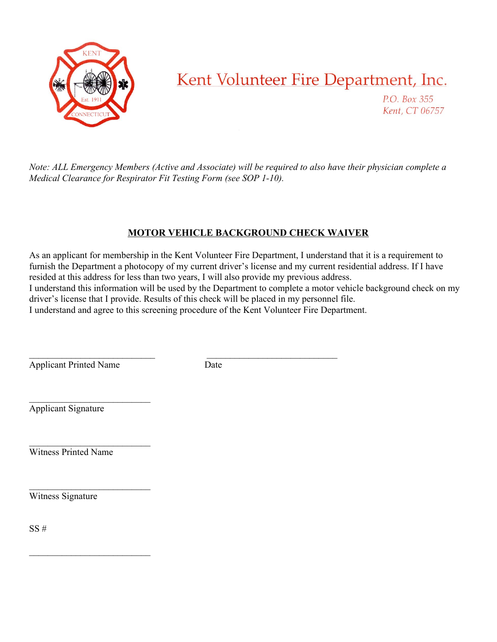

P.O. Box 355 Kent, CT 06757

Note: ALL Emergency Members (Active and Associate) will be required to also have their physician complete a *Medical Clearance for Respirator Fit Testing Form (see SOP 1-10).*

### **MOTOR VEHICLE BACKGROUND CHECK WAIVER**

As an applicant for membership in the Kent Volunteer Fire Department, I understand that it is a requirement to furnish the Department a photocopy of my current driver's license and my current residential address. If I have resided at this address for less than two years, I will also provide my previous address. I understand this information will be used by the Department to complete a motor vehicle background check on my driver's license that I provide. Results of this check will be placed in my personnel file.

I understand and agree to this screening procedure of the Kent Volunteer Fire Department.

 $\mathcal{L}_\text{max}$  and the contract of the contract of the contract of the contract of the contract of the contract of Applicant Printed Name Date

 $\mathcal{L}_\text{max}$ 

 $\mathcal{L}_\text{max}$ 

 $\mathcal{L}_\text{max}$ 

 $\mathcal{L}_\text{max}$ 

Applicant Signature

Witness Printed Name

Witness Signature

 $SS#$